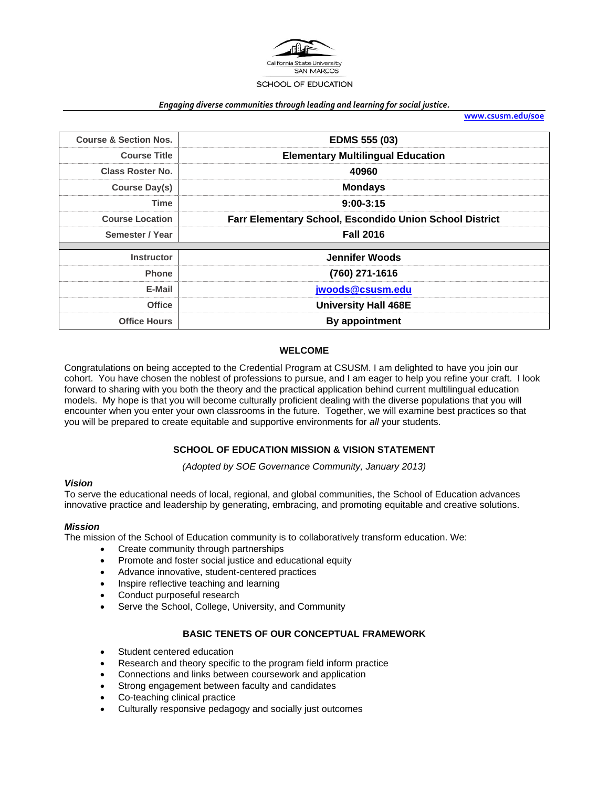

#### *Engaging diverse communities through leading and learning for social justice.*

**www.csusm.edu/soe**

| <b>Course &amp; Section Nos.</b> | <b>EDMS 555 (03)</b>                                           |  |  |  |
|----------------------------------|----------------------------------------------------------------|--|--|--|
| <b>Course Title</b>              | <b>Elementary Multilingual Education</b>                       |  |  |  |
| <b>Class Roster No.</b>          | 40960                                                          |  |  |  |
| Course Day(s)                    | <b>Mondays</b>                                                 |  |  |  |
| Time                             | $9:00-3:15$                                                    |  |  |  |
| <b>Course Location</b>           | <b>Farr Elementary School, Escondido Union School District</b> |  |  |  |
| Semester / Year                  | <b>Fall 2016</b>                                               |  |  |  |
|                                  |                                                                |  |  |  |
| <b>Instructor</b>                | <b>Jennifer Woods</b>                                          |  |  |  |
| <b>Phone</b>                     | (760) 271-1616                                                 |  |  |  |
| E-Mail                           | jwoods@csusm.edu                                               |  |  |  |
| <b>Office</b>                    | <b>University Hall 468E</b>                                    |  |  |  |
| <b>Office Hours</b>              | By appointment                                                 |  |  |  |

#### **WELCOME**

Congratulations on being accepted to the Credential Program at CSUSM. I am delighted to have you join our cohort. You have chosen the noblest of professions to pursue, and I am eager to help you refine your craft. I look forward to sharing with you both the theory and the practical application behind current multilingual education models. My hope is that you will become culturally proficient dealing with the diverse populations that you will encounter when you enter your own classrooms in the future. Together, we will examine best practices so that you will be prepared to create equitable and supportive environments for *all* your students.

#### **SCHOOL OF EDUCATION MISSION & VISION STATEMENT**

*(Adopted by SOE Governance Community, January 2013)* 

#### *Vision*

To serve the educational needs of local, regional, and global communities, the School of Education advances innovative practice and leadership by generating, embracing, and promoting equitable and creative solutions.

#### *Mission*

The mission of the School of Education community is to collaboratively transform education. We:

- Create community through partnerships
- Promote and foster social justice and educational equity
- Advance innovative, student-centered practices
- Inspire reflective teaching and learning
- Conduct purposeful research
- Serve the School, College, University, and Community

### **BASIC TENETS OF OUR CONCEPTUAL FRAMEWORK**

- Student centered education
- Research and theory specific to the program field inform practice
- Connections and links between coursework and application
- Strong engagement between faculty and candidates
- Co-teaching clinical practice
- Culturally responsive pedagogy and socially just outcomes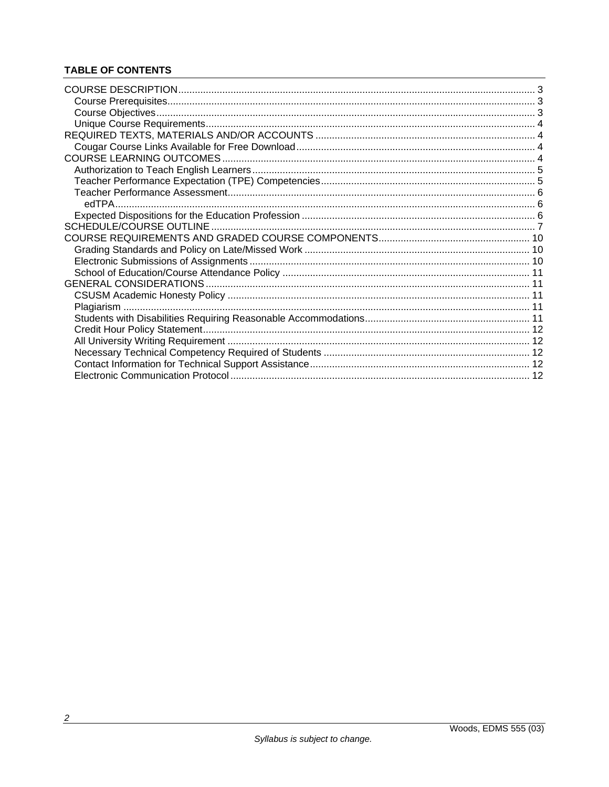# **TABLE OF CONTENTS**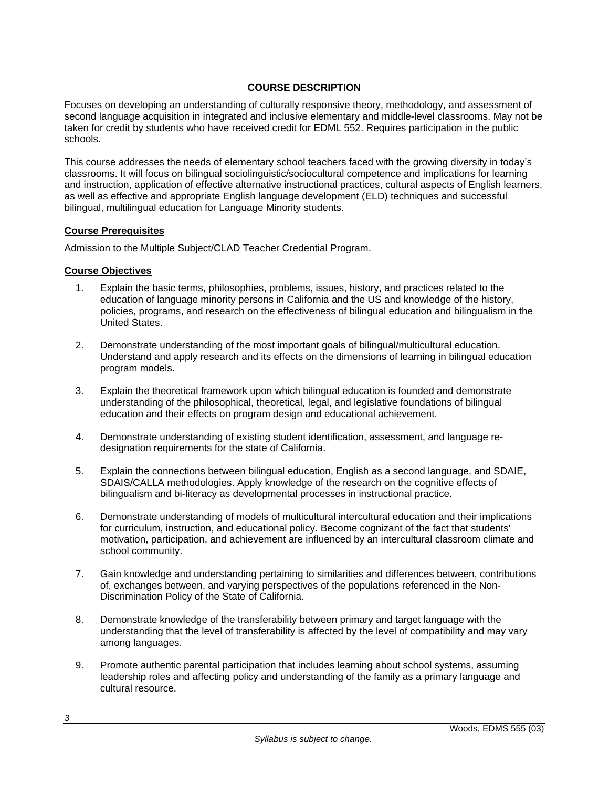### **COURSE DESCRIPTION**

Focuses on developing an understanding of culturally responsive theory, methodology, and assessment of second language acquisition in integrated and inclusive elementary and middle-level classrooms. May not be taken for credit by students who have received credit for EDML 552. Requires participation in the public schools.

This course addresses the needs of elementary school teachers faced with the growing diversity in today's classrooms. It will focus on bilingual sociolinguistic/sociocultural competence and implications for learning and instruction, application of effective alternative instructional practices, cultural aspects of English learners, as well as effective and appropriate English language development (ELD) techniques and successful bilingual, multilingual education for Language Minority students.

### **Course Prerequisites**

Admission to the Multiple Subject/CLAD Teacher Credential Program.

### **Course Objectives**

- 1. Explain the basic terms, philosophies, problems, issues, history, and practices related to the education of language minority persons in California and the US and knowledge of the history, policies, programs, and research on the effectiveness of bilingual education and bilingualism in the United States.
- 2. Demonstrate understanding of the most important goals of bilingual/multicultural education. Understand and apply research and its effects on the dimensions of learning in bilingual education program models.
- 3. Explain the theoretical framework upon which bilingual education is founded and demonstrate understanding of the philosophical, theoretical, legal, and legislative foundations of bilingual education and their effects on program design and educational achievement.
- 4. Demonstrate understanding of existing student identification, assessment, and language redesignation requirements for the state of California.
- 5. Explain the connections between bilingual education, English as a second language, and SDAIE, SDAIS/CALLA methodologies. Apply knowledge of the research on the cognitive effects of bilingualism and bi-literacy as developmental processes in instructional practice.
- 6. Demonstrate understanding of models of multicultural intercultural education and their implications for curriculum, instruction, and educational policy. Become cognizant of the fact that students' motivation, participation, and achievement are influenced by an intercultural classroom climate and school community.
- 7. Gain knowledge and understanding pertaining to similarities and differences between, contributions of, exchanges between, and varying perspectives of the populations referenced in the Non-Discrimination Policy of the State of California.
- 8. Demonstrate knowledge of the transferability between primary and target language with the understanding that the level of transferability is affected by the level of compatibility and may vary among languages.
- 9. Promote authentic parental participation that includes learning about school systems, assuming leadership roles and affecting policy and understanding of the family as a primary language and cultural resource.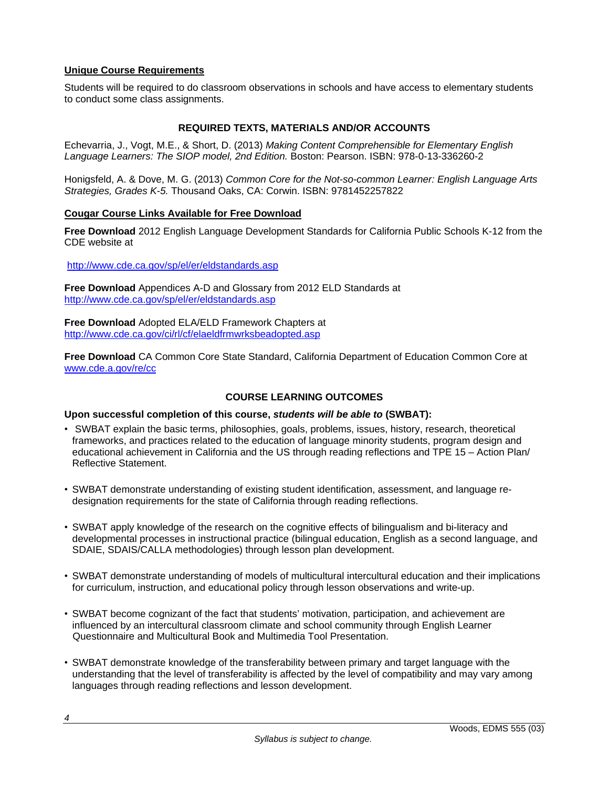### **Unique Course Requirements**

Students will be required to do classroom observations in schools and have access to elementary students to conduct some class assignments.

## **REQUIRED TEXTS, MATERIALS AND/OR ACCOUNTS**

Echevarria, J., Vogt, M.E., & Short, D. (2013) *Making Content Comprehensible for Elementary English Language Learners: The SIOP model, 2nd Edition.* Boston: Pearson. ISBN: 978-0-13-336260-2

Honigsfeld, A. & Dove, M. G. (2013) *Common Core for the Not-so-common Learner: English Language Arts Strategies, Grades K-5.* Thousand Oaks, CA: Corwin. ISBN: 9781452257822

### **Cougar Course Links Available for Free Download**

**Free Download** 2012 English Language Development Standards for California Public Schools K-12 from the CDE website at

http://www.cde.ca.gov/sp/el/er/eldstandards.asp

**Free Download** Appendices A-D and Glossary from 2012 ELD Standards at http://www.cde.ca.gov/sp/el/er/eldstandards.asp

**Free Download** Adopted ELA/ELD Framework Chapters at http://www.cde.ca.gov/ci/rl/cf/elaeldfrmwrksbeadopted.asp

**Free Download** CA Common Core State Standard, California Department of Education Common Core at www.cde.a.gov/re/cc

### **COURSE LEARNING OUTCOMES**

#### **Upon successful completion of this course,** *students will be able to* **(SWBAT):**

- SWBAT explain the basic terms, philosophies, goals, problems, issues, history, research, theoretical frameworks, and practices related to the education of language minority students, program design and educational achievement in California and the US through reading reflections and TPE 15 – Action Plan/ Reflective Statement.
- SWBAT demonstrate understanding of existing student identification, assessment, and language redesignation requirements for the state of California through reading reflections.
- SWBAT apply knowledge of the research on the cognitive effects of bilingualism and bi-literacy and developmental processes in instructional practice (bilingual education, English as a second language, and SDAIE, SDAIS/CALLA methodologies) through lesson plan development.
- SWBAT demonstrate understanding of models of multicultural intercultural education and their implications for curriculum, instruction, and educational policy through lesson observations and write-up.
- SWBAT become cognizant of the fact that students' motivation, participation, and achievement are influenced by an intercultural classroom climate and school community through English Learner Questionnaire and Multicultural Book and Multimedia Tool Presentation.
- SWBAT demonstrate knowledge of the transferability between primary and target language with the understanding that the level of transferability is affected by the level of compatibility and may vary among languages through reading reflections and lesson development.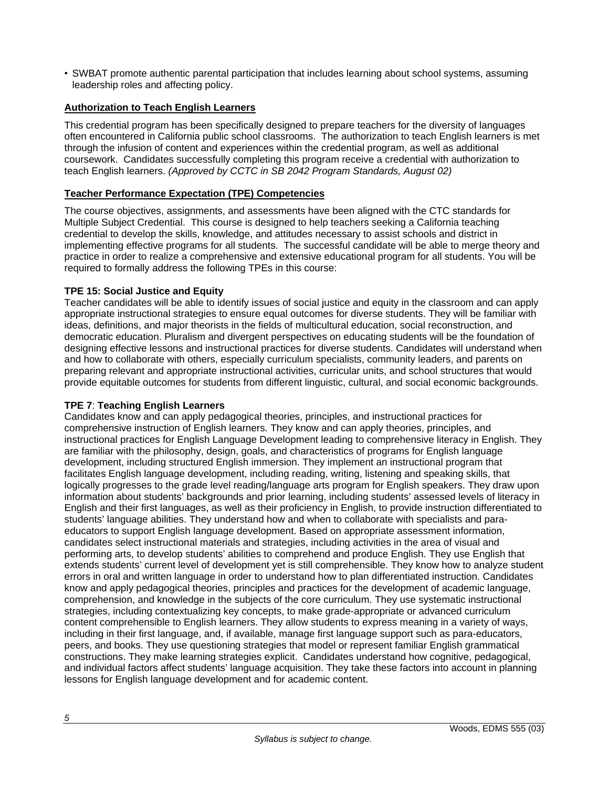• SWBAT promote authentic parental participation that includes learning about school systems, assuming leadership roles and affecting policy.

### **Authorization to Teach English Learners**

This credential program has been specifically designed to prepare teachers for the diversity of languages often encountered in California public school classrooms. The authorization to teach English learners is met through the infusion of content and experiences within the credential program, as well as additional coursework. Candidates successfully completing this program receive a credential with authorization to teach English learners. *(Approved by CCTC in SB 2042 Program Standards, August 02)*

## **Teacher Performance Expectation (TPE) Competencies**

The course objectives, assignments, and assessments have been aligned with the CTC standards for Multiple Subject Credential. This course is designed to help teachers seeking a California teaching credential to develop the skills, knowledge, and attitudes necessary to assist schools and district in implementing effective programs for all students. The successful candidate will be able to merge theory and practice in order to realize a comprehensive and extensive educational program for all students. You will be required to formally address the following TPEs in this course:

### **TPE 15: Social Justice and Equity**

Teacher candidates will be able to identify issues of social justice and equity in the classroom and can apply appropriate instructional strategies to ensure equal outcomes for diverse students. They will be familiar with ideas, definitions, and major theorists in the fields of multicultural education, social reconstruction, and democratic education. Pluralism and divergent perspectives on educating students will be the foundation of designing effective lessons and instructional practices for diverse students. Candidates will understand when and how to collaborate with others, especially curriculum specialists, community leaders, and parents on preparing relevant and appropriate instructional activities, curricular units, and school structures that would provide equitable outcomes for students from different linguistic, cultural, and social economic backgrounds.

### **TPE 7**: **Teaching English Learners**

Candidates know and can apply pedagogical theories, principles, and instructional practices for comprehensive instruction of English learners. They know and can apply theories, principles, and instructional practices for English Language Development leading to comprehensive literacy in English. They are familiar with the philosophy, design, goals, and characteristics of programs for English language development, including structured English immersion. They implement an instructional program that facilitates English language development, including reading, writing, listening and speaking skills, that logically progresses to the grade level reading/language arts program for English speakers. They draw upon information about students' backgrounds and prior learning, including students' assessed levels of literacy in English and their first languages, as well as their proficiency in English, to provide instruction differentiated to students' language abilities. They understand how and when to collaborate with specialists and paraeducators to support English language development. Based on appropriate assessment information, candidates select instructional materials and strategies, including activities in the area of visual and performing arts, to develop students' abilities to comprehend and produce English. They use English that extends students' current level of development yet is still comprehensible. They know how to analyze student errors in oral and written language in order to understand how to plan differentiated instruction. Candidates know and apply pedagogical theories, principles and practices for the development of academic language, comprehension, and knowledge in the subjects of the core curriculum. They use systematic instructional strategies, including contextualizing key concepts, to make grade-appropriate or advanced curriculum content comprehensible to English learners. They allow students to express meaning in a variety of ways, including in their first language, and, if available, manage first language support such as para-educators, peers, and books. They use questioning strategies that model or represent familiar English grammatical constructions. They make learning strategies explicit. Candidates understand how cognitive, pedagogical, and individual factors affect students' language acquisition. They take these factors into account in planning lessons for English language development and for academic content.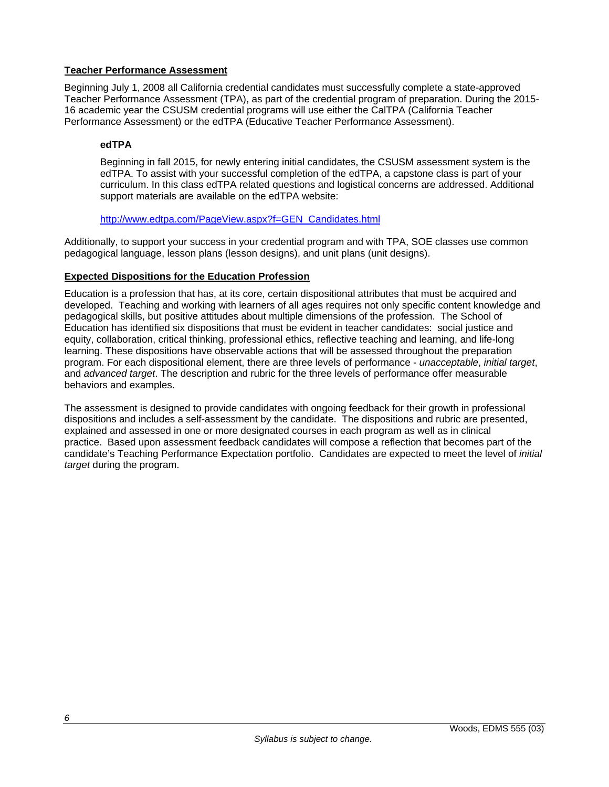### **Teacher Performance Assessment**

Beginning July 1, 2008 all California credential candidates must successfully complete a state-approved Teacher Performance Assessment (TPA), as part of the credential program of preparation. During the 2015- 16 academic year the CSUSM credential programs will use either the CalTPA (California Teacher Performance Assessment) or the edTPA (Educative Teacher Performance Assessment).

## **edTPA**

Beginning in fall 2015, for newly entering initial candidates, the CSUSM assessment system is the edTPA. To assist with your successful completion of the edTPA, a capstone class is part of your curriculum. In this class edTPA related questions and logistical concerns are addressed. Additional support materials are available on the edTPA website:

### http://www.edtpa.com/PageView.aspx?f=GEN\_Candidates.html

Additionally, to support your success in your credential program and with TPA, SOE classes use common pedagogical language, lesson plans (lesson designs), and unit plans (unit designs).

### **Expected Dispositions for the Education Profession**

Education is a profession that has, at its core, certain dispositional attributes that must be acquired and developed. Teaching and working with learners of all ages requires not only specific content knowledge and pedagogical skills, but positive attitudes about multiple dimensions of the profession. The School of Education has identified six dispositions that must be evident in teacher candidates: social justice and equity, collaboration, critical thinking, professional ethics, reflective teaching and learning, and life-long learning. These dispositions have observable actions that will be assessed throughout the preparation program. For each dispositional element, there are three levels of performance - *unacceptable*, *initial target*, and *advanced target*. The description and rubric for the three levels of performance offer measurable behaviors and examples.

The assessment is designed to provide candidates with ongoing feedback for their growth in professional dispositions and includes a self-assessment by the candidate. The dispositions and rubric are presented, explained and assessed in one or more designated courses in each program as well as in clinical practice. Based upon assessment feedback candidates will compose a reflection that becomes part of the candidate's Teaching Performance Expectation portfolio. Candidates are expected to meet the level of *initial target* during the program.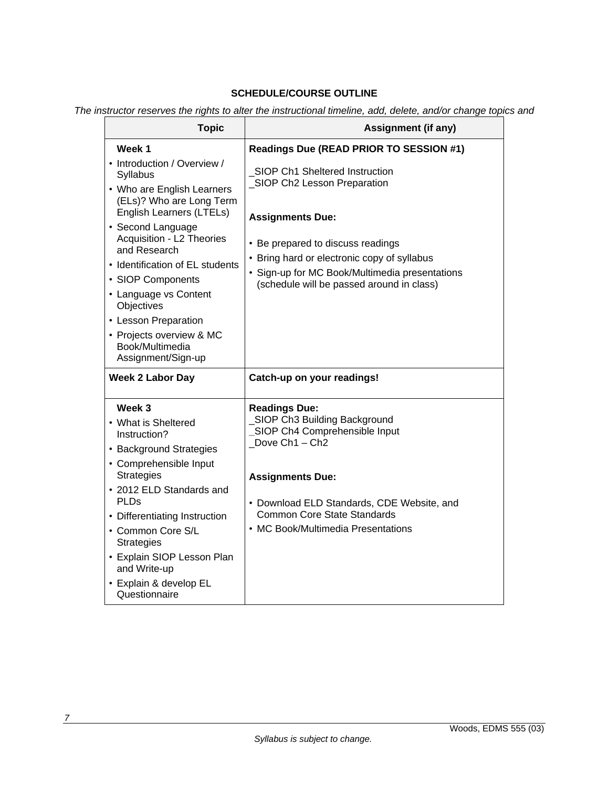# **SCHEDULE/COURSE OUTLINE**

*The instructor reserves the rights to alter the instructional timeline, add, delete, and/or change topics and* 

| <b>Topic</b>                                                                                                                                                                                                                                                                                                                                                                                | <b>Assignment (if any)</b>                                                                                                                                                                                                                                                   |  |  |
|---------------------------------------------------------------------------------------------------------------------------------------------------------------------------------------------------------------------------------------------------------------------------------------------------------------------------------------------------------------------------------------------|------------------------------------------------------------------------------------------------------------------------------------------------------------------------------------------------------------------------------------------------------------------------------|--|--|
| Week 1                                                                                                                                                                                                                                                                                                                                                                                      | Readings Due (READ PRIOR TO SESSION #1)                                                                                                                                                                                                                                      |  |  |
| • Introduction / Overview /<br>Syllabus<br>• Who are English Learners<br>(ELs)? Who are Long Term<br>English Learners (LTELs)<br>• Second Language<br>Acquisition - L2 Theories<br>and Research<br>• Identification of EL students<br>• SIOP Components<br>• Language vs Content<br>Objectives<br>• Lesson Preparation<br>• Projects overview & MC<br>Book/Multimedia<br>Assignment/Sign-up | SIOP Ch1 Sheltered Instruction<br>_SIOP Ch2 Lesson Preparation<br><b>Assignments Due:</b><br>• Be prepared to discuss readings<br>• Bring hard or electronic copy of syllabus<br>• Sign-up for MC Book/Multimedia presentations<br>(schedule will be passed around in class) |  |  |
| <b>Week 2 Labor Day</b>                                                                                                                                                                                                                                                                                                                                                                     | Catch-up on your readings!                                                                                                                                                                                                                                                   |  |  |
| Week 3<br>• What is Sheltered<br>Instruction?<br>• Background Strategies<br>• Comprehensible Input<br><b>Strategies</b><br>• 2012 ELD Standards and<br>PLDs<br>• Differentiating Instruction<br>• Common Core S/L<br><b>Strategies</b><br>• Explain SIOP Lesson Plan<br>and Write-up<br>• Explain & develop EL<br>Questionnaire                                                             | <b>Readings Due:</b><br>SIOP Ch3 Building Background<br>SIOP Ch4 Comprehensible Input<br>Dove Ch1 - Ch2<br><b>Assignments Due:</b><br>• Download ELD Standards, CDE Website, and<br><b>Common Core State Standards</b><br>• MC Book/Multimedia Presentations                 |  |  |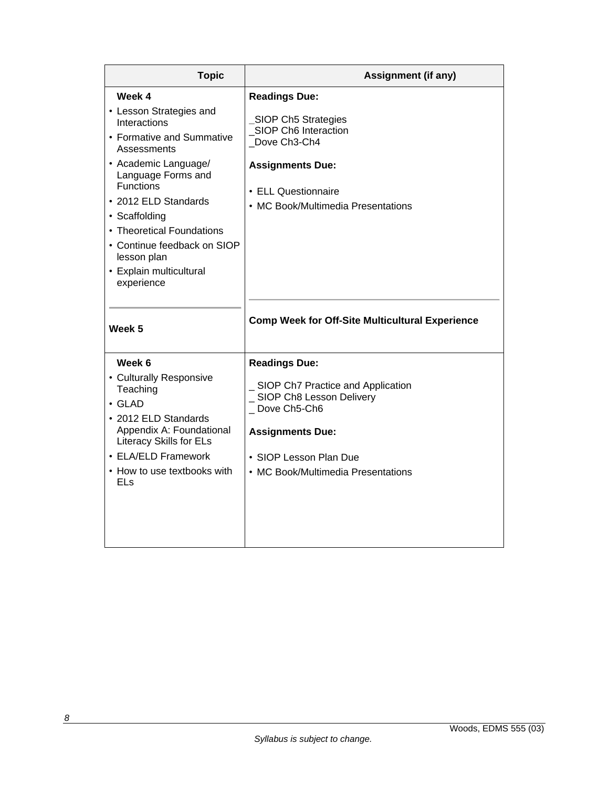| <b>Topic</b>                                                                                                                                                                                                                                                                                                                 | <b>Assignment (if any)</b>                                                                                                                                                                          |  |  |
|------------------------------------------------------------------------------------------------------------------------------------------------------------------------------------------------------------------------------------------------------------------------------------------------------------------------------|-----------------------------------------------------------------------------------------------------------------------------------------------------------------------------------------------------|--|--|
| Week 4<br>• Lesson Strategies and<br>Interactions<br>• Formative and Summative<br>Assessments<br>• Academic Language/<br>Language Forms and<br><b>Functions</b><br>• 2012 ELD Standards<br>• Scaffolding<br>• Theoretical Foundations<br>• Continue feedback on SIOP<br>lesson plan<br>• Explain multicultural<br>experience | <b>Readings Due:</b><br>SIOP Ch5 Strategies<br>SIOP Ch6 Interaction<br>Dove Ch3-Ch4<br><b>Assignments Due:</b><br>• ELL Questionnaire<br>• MC Book/Multimedia Presentations                         |  |  |
| Week 5                                                                                                                                                                                                                                                                                                                       | <b>Comp Week for Off-Site Multicultural Experience</b>                                                                                                                                              |  |  |
| Week 6<br>• Culturally Responsive<br>Teaching<br>$\cdot$ GLAD<br>• 2012 ELD Standards<br>Appendix A: Foundational<br><b>Literacy Skills for ELs</b><br>• ELA/ELD Framework<br>• How to use textbooks with<br><b>ELs</b>                                                                                                      | <b>Readings Due:</b><br>SIOP Ch7 Practice and Application<br>_ SIOP Ch8 Lesson Delivery<br>_Dove Ch5-Ch6<br><b>Assignments Due:</b><br>• SIOP Lesson Plan Due<br>• MC Book/Multimedia Presentations |  |  |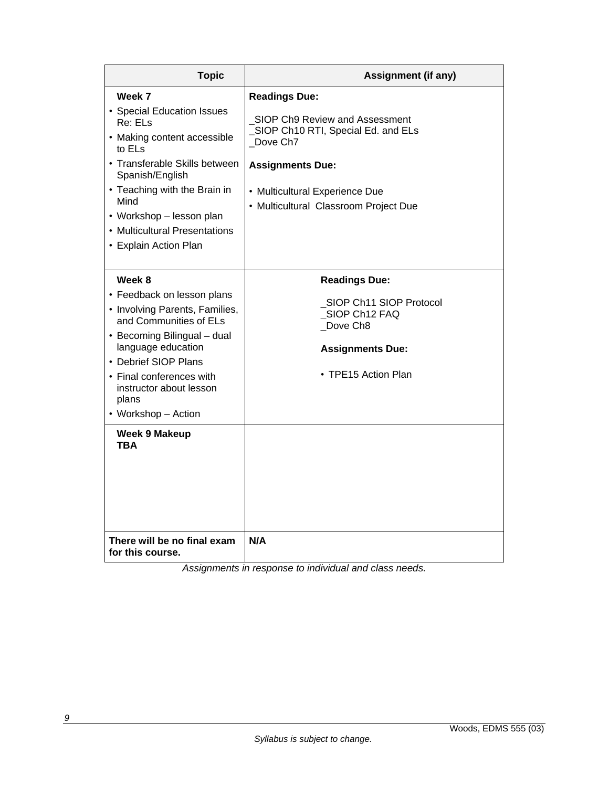| <b>Topic</b>                                                                                                                                                                                                                                                               | <b>Assignment (if any)</b>                                                                                                                                                                                     |  |  |
|----------------------------------------------------------------------------------------------------------------------------------------------------------------------------------------------------------------------------------------------------------------------------|----------------------------------------------------------------------------------------------------------------------------------------------------------------------------------------------------------------|--|--|
| Week 7<br>• Special Education Issues<br>Re: ELs<br>• Making content accessible<br>to ELs<br>• Transferable Skills between<br>Spanish/English<br>• Teaching with the Brain in<br>Mind<br>• Workshop – lesson plan<br>• Multicultural Presentations<br>• Explain Action Plan | <b>Readings Due:</b><br>SIOP Ch9 Review and Assessment<br>SIOP Ch10 RTI, Special Ed. and ELs<br>Dove Ch7<br><b>Assignments Due:</b><br>• Multicultural Experience Due<br>• Multicultural Classroom Project Due |  |  |
| Week 8<br>• Feedback on lesson plans<br>• Involving Parents, Families,<br>and Communities of ELs<br>• Becoming Bilingual – dual<br>language education<br>• Debrief SIOP Plans<br>• Final conferences with<br>instructor about lesson<br>plans<br>• Workshop - Action       | <b>Readings Due:</b><br>SIOP Ch11 SIOP Protocol<br>SIOP Ch12 FAQ<br>Dove Ch8<br><b>Assignments Due:</b><br>• TPE15 Action Plan                                                                                 |  |  |
| <b>Week 9 Makeup</b><br>TBA<br>There will be no final exam<br>for this course.                                                                                                                                                                                             | N/A                                                                                                                                                                                                            |  |  |

*Assignments in response to individual and class needs.*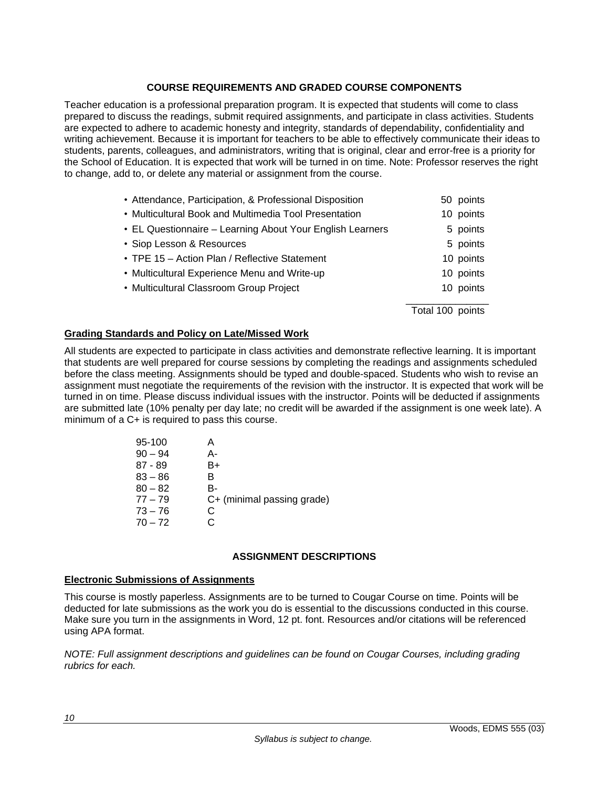## **COURSE REQUIREMENTS AND GRADED COURSE COMPONENTS**

Teacher education is a professional preparation program. It is expected that students will come to class prepared to discuss the readings, submit required assignments, and participate in class activities. Students are expected to adhere to academic honesty and integrity, standards of dependability, confidentiality and writing achievement. Because it is important for teachers to be able to effectively communicate their ideas to students, parents, colleagues, and administrators, writing that is original, clear and error-free is a priority for the School of Education. It is expected that work will be turned in on time. Note: Professor reserves the right to change, add to, or delete any material or assignment from the course.

| • Attendance, Participation, & Professional Disposition   | 50 points        |
|-----------------------------------------------------------|------------------|
| • Multicultural Book and Multimedia Tool Presentation     | 10 points        |
| • EL Questionnaire - Learning About Your English Learners | 5 points         |
| • Siop Lesson & Resources                                 | 5 points         |
| • TPE 15 - Action Plan / Reflective Statement             | 10 points        |
| • Multicultural Experience Menu and Write-up              | 10 points        |
| • Multicultural Classroom Group Project                   | 10 points        |
|                                                           | Total 100 points |

## **Grading Standards and Policy on Late/Missed Work**

All students are expected to participate in class activities and demonstrate reflective learning. It is important that students are well prepared for course sessions by completing the readings and assignments scheduled before the class meeting. Assignments should be typed and double-spaced. Students who wish to revise an assignment must negotiate the requirements of the revision with the instructor. It is expected that work will be turned in on time. Please discuss individual issues with the instructor. Points will be deducted if assignments are submitted late (10% penalty per day late; no credit will be awarded if the assignment is one week late). A minimum of a C+ is required to pass this course.

| 95-100    |    |                            |
|-----------|----|----------------------------|
| $90 - 94$ | А- |                            |
| $87 - 89$ | B+ |                            |
| $83 - 86$ | B. |                            |
| $80 - 82$ | B- |                            |
| $77 - 79$ |    | C+ (minimal passing grade) |
| $73 - 76$ | C  |                            |
| $70 - 72$ |    |                            |
|           |    |                            |

### **ASSIGNMENT DESCRIPTIONS**

#### **Electronic Submissions of Assignments**

This course is mostly paperless. Assignments are to be turned to Cougar Course on time. Points will be deducted for late submissions as the work you do is essential to the discussions conducted in this course. Make sure you turn in the assignments in Word, 12 pt. font. Resources and/or citations will be referenced using APA format.

*NOTE: Full assignment descriptions and guidelines can be found on Cougar Courses, including grading rubrics for each.*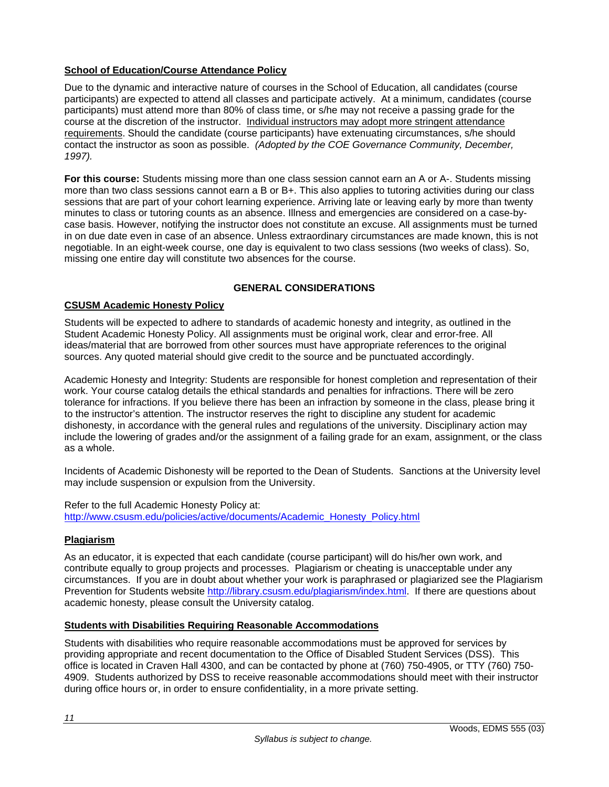# **School of Education/Course Attendance Policy**

Due to the dynamic and interactive nature of courses in the School of Education, all candidates (course participants) are expected to attend all classes and participate actively. At a minimum, candidates (course participants) must attend more than 80% of class time, or s/he may not receive a passing grade for the course at the discretion of the instructor. Individual instructors may adopt more stringent attendance requirements. Should the candidate (course participants) have extenuating circumstances, s/he should contact the instructor as soon as possible. *(Adopted by the COE Governance Community, December, 1997).*

**For this course:** Students missing more than one class session cannot earn an A or A-. Students missing more than two class sessions cannot earn a B or B+. This also applies to tutoring activities during our class sessions that are part of your cohort learning experience. Arriving late or leaving early by more than twenty minutes to class or tutoring counts as an absence. Illness and emergencies are considered on a case-bycase basis. However, notifying the instructor does not constitute an excuse. All assignments must be turned in on due date even in case of an absence. Unless extraordinary circumstances are made known, this is not negotiable. In an eight-week course, one day is equivalent to two class sessions (two weeks of class). So, missing one entire day will constitute two absences for the course.

## **GENERAL CONSIDERATIONS**

### **CSUSM Academic Honesty Policy**

Students will be expected to adhere to standards of academic honesty and integrity, as outlined in the Student Academic Honesty Policy. All assignments must be original work, clear and error-free. All ideas/material that are borrowed from other sources must have appropriate references to the original sources. Any quoted material should give credit to the source and be punctuated accordingly.

Academic Honesty and Integrity: Students are responsible for honest completion and representation of their work. Your course catalog details the ethical standards and penalties for infractions. There will be zero tolerance for infractions. If you believe there has been an infraction by someone in the class, please bring it to the instructor's attention. The instructor reserves the right to discipline any student for academic dishonesty, in accordance with the general rules and regulations of the university. Disciplinary action may include the lowering of grades and/or the assignment of a failing grade for an exam, assignment, or the class as a whole.

Incidents of Academic Dishonesty will be reported to the Dean of Students. Sanctions at the University level may include suspension or expulsion from the University.

Refer to the full Academic Honesty Policy at: http://www.csusm.edu/policies/active/documents/Academic\_Honesty\_Policy.html

### **Plagiarism**

As an educator, it is expected that each candidate (course participant) will do his/her own work, and contribute equally to group projects and processes. Plagiarism or cheating is unacceptable under any circumstances. If you are in doubt about whether your work is paraphrased or plagiarized see the Plagiarism Prevention for Students website http://library.csusm.edu/plagiarism/index.html. If there are questions about academic honesty, please consult the University catalog.

### **Students with Disabilities Requiring Reasonable Accommodations**

Students with disabilities who require reasonable accommodations must be approved for services by providing appropriate and recent documentation to the Office of Disabled Student Services (DSS). This office is located in Craven Hall 4300, and can be contacted by phone at (760) 750-4905, or TTY (760) 750- 4909. Students authorized by DSS to receive reasonable accommodations should meet with their instructor during office hours or, in order to ensure confidentiality, in a more private setting.